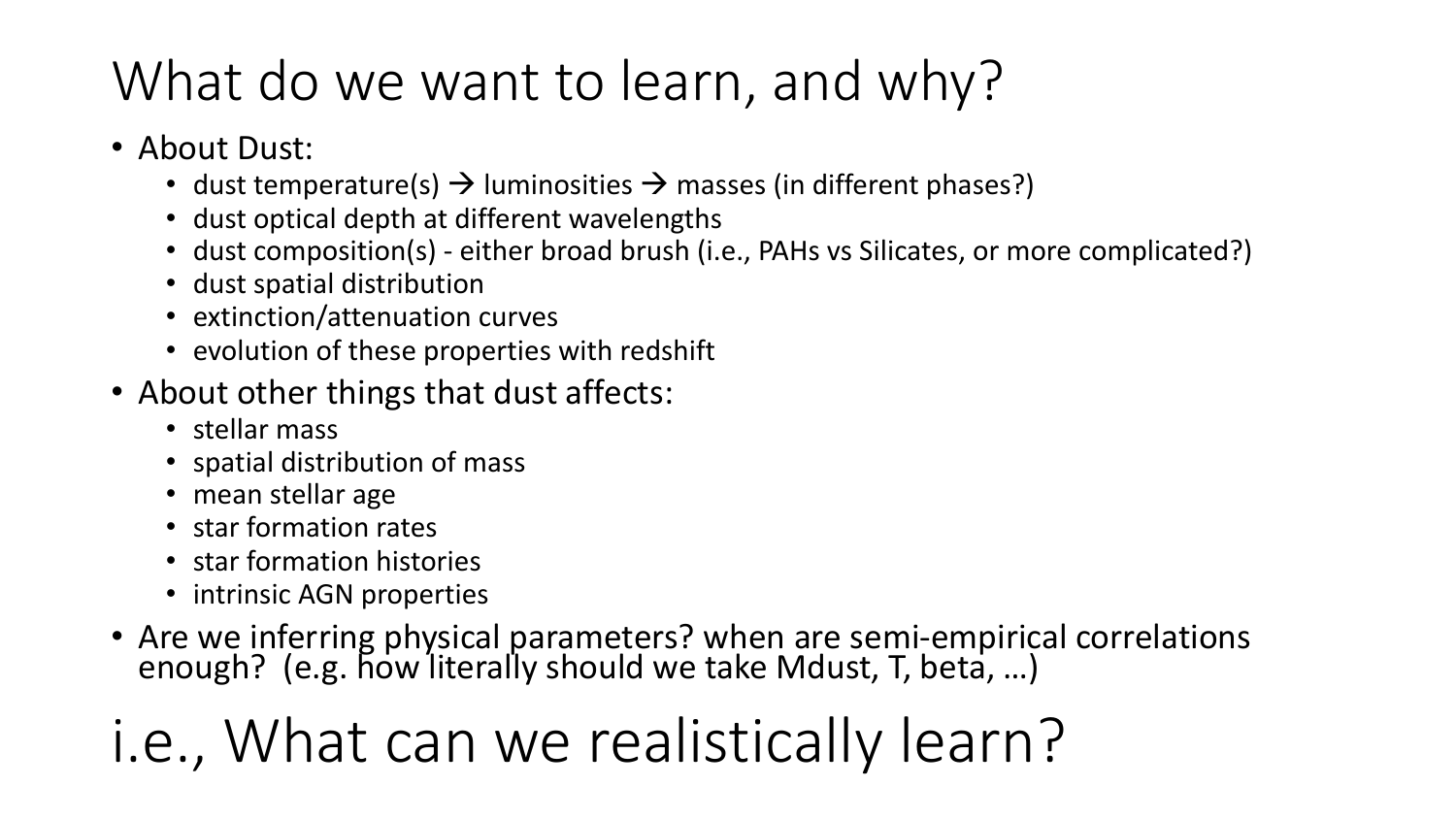## What do we want to learn, and why?

- About Dust:
	- dust temperature(s)  $\rightarrow$  luminosities  $\rightarrow$  masses (in different phases?)
	- dust optical depth at different wavelengths
	- dust composition(s) either broad brush (i.e., PAHs vs Silicates, or more complicated?)
	- dust spatial distribution
	- extinction/attenuation curves
	- evolution of these properties with redshift
- About other things that dust affects:
	- stellar mass
	- spatial distribution of mass
	- mean stellar age
	- star formation rates
	- star formation histories
	- intrinsic AGN properties
- Are we inferring physical parameters? when are semi-empirical correlations enough? (e.g. how literally should we take Mdust, T, beta, …)
- i.e., What can we realistically learn?